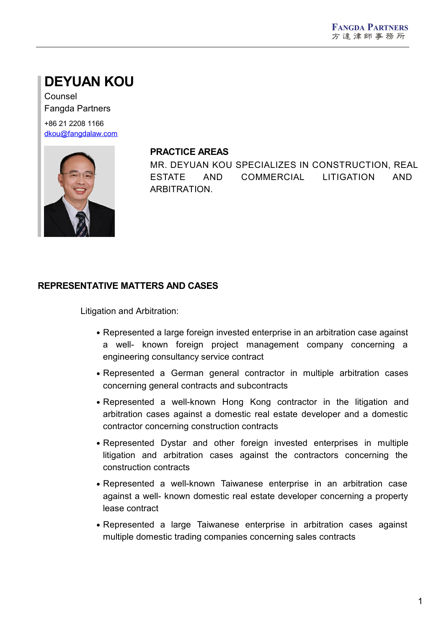# **DEYUAN KOU**

Counsel Fangda Partners

+86 21 2208 1166 [dkou@fangdalaw.com](mailto:dkou@fangdalaw.com)



#### **PRACTICE AREAS**

MR. DEYUAN KOU SPECIALIZES IN CONSTRUCTION, REAL ESTATE AND COMMERCIAL LITIGATION AND ARBITRATION.

## **REPRESENTATIVE MATTERS AND CASES**

Litigation and Arbitration:

- Represented a large foreign invested enterprise in an arbitration case against a well- known foreign project management company concerning a engineering consultancy service contract
- Represented a German general contractor in multiple arbitration cases concerning general contracts and subcontracts
- Represented a well-known Hong Kong contractor in the litigation and arbitration cases against a domestic real estate developer and a domestic contractor concerning construction contracts
- Represented Dystar and other foreign invested enterprises in multiple litigation and arbitration cases against the contractors concerning the construction contracts
- Represented a well-known Taiwanese enterprise in an arbitration case against a well- known domestic real estate developer concerning a property lease contract
- Represented a large Taiwanese enterprise in arbitration cases against multiple domestic trading companies concerning sales contracts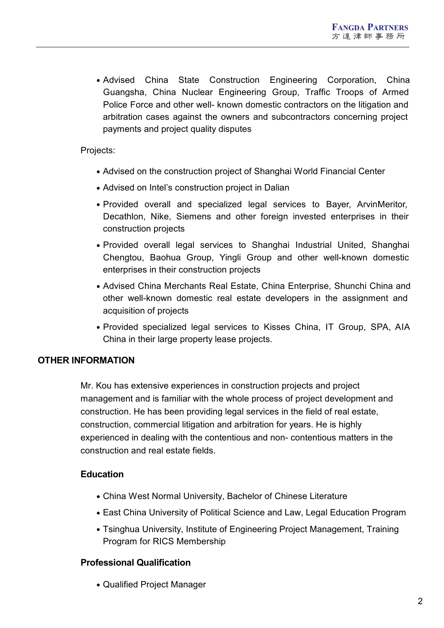Advised China State Construction Engineering Corporation, China Guangsha, China Nuclear Engineering Group, Traffic Troops of Armed Police Force and other well- known domestic contractors on the litigation and arbitration cases against the owners and subcontractors concerning project payments and project quality disputes

Projects:

- Advised on the construction project of Shanghai World Financial Center
- Advised on Intel's construction project in Dalian
- Provided overall and specialized legal services to Bayer, ArvinMeritor, Decathlon, Nike, Siemens and other foreign invested enterprises in their construction projects
- Provided overall legal services to Shanghai Industrial United, Shanghai Chengtou, Baohua Group, Yingli Group and other well-known domestic enterprises in their construction projects
- Advised China Merchants Real Estate, China Enterprise, Shunchi China and other well-known domestic real estate developers in the assignment and acquisition of projects
- Provided specialized legal services to Kisses China, IT Group, SPA, AIA China in their large property lease projects.

### **OTHER INFORMATION**

Mr. Kou has extensive experiences in construction projects and project management and is familiar with the whole process of project development and construction. He has been providing legal services in the field of real estate, construction, commercial litigation and arbitration for years. He is highly experienced in dealing with the contentious and non- contentious matters in the construction and real estate fields.

### **Education**

- China West Normal University, Bachelor of Chinese Literature
- East China University of Political Science and Law, Legal Education Program
- Tsinghua University, Institute of Engineering Project Management, Training Program for RICS Membership

#### **Professional Qualification**

Qualified Project Manager